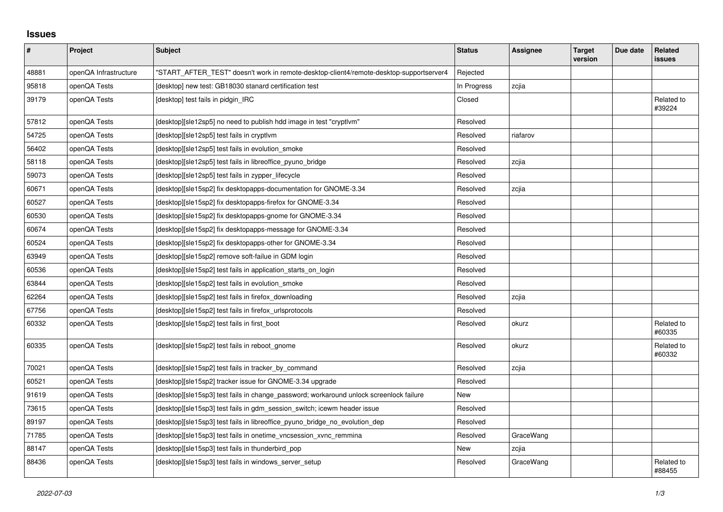## **Issues**

| #     | Project               | <b>Subject</b>                                                                          | <b>Status</b> | <b>Assignee</b> | <b>Target</b><br>version | Due date | Related<br>issues    |
|-------|-----------------------|-----------------------------------------------------------------------------------------|---------------|-----------------|--------------------------|----------|----------------------|
| 48881 | openQA Infrastructure | "START AFTER TEST" doesn't work in remote-desktop-client4/remote-desktop-supportserver4 | Rejected      |                 |                          |          |                      |
| 95818 | openQA Tests          | [desktop] new test: GB18030 stanard certification test                                  | In Progress   | zcjia           |                          |          |                      |
| 39179 | openQA Tests          | [desktop] test fails in pidgin IRC                                                      | Closed        |                 |                          |          | Related to<br>#39224 |
| 57812 | openQA Tests          | [desktop][sle12sp5] no need to publish hdd image in test "cryptlym"                     | Resolved      |                 |                          |          |                      |
| 54725 | openQA Tests          | [desktop][sle12sp5] test fails in cryptlym                                              | Resolved      | riafarov        |                          |          |                      |
| 56402 | openQA Tests          | [desktop][sle12sp5] test fails in evolution_smoke                                       | Resolved      |                 |                          |          |                      |
| 58118 | openQA Tests          | [desktop][sle12sp5] test fails in libreoffice pyuno bridge                              | Resolved      | zcjia           |                          |          |                      |
| 59073 | openQA Tests          | [desktop][sle12sp5] test fails in zypper_lifecycle                                      | Resolved      |                 |                          |          |                      |
| 60671 | openQA Tests          | [desktop][sle15sp2] fix desktopapps-documentation for GNOME-3.34                        | Resolved      | zcjia           |                          |          |                      |
| 60527 | openQA Tests          | [desktop][sle15sp2] fix desktopapps-firefox for GNOME-3.34                              | Resolved      |                 |                          |          |                      |
| 60530 | openQA Tests          | [desktop][sle15sp2] fix desktopapps-gnome for GNOME-3.34                                | Resolved      |                 |                          |          |                      |
| 60674 | openQA Tests          | [desktop][sle15sp2] fix desktopapps-message for GNOME-3.34                              | Resolved      |                 |                          |          |                      |
| 60524 | openQA Tests          | [desktop][sle15sp2] fix desktopapps-other for GNOME-3.34                                | Resolved      |                 |                          |          |                      |
| 63949 | openQA Tests          | [desktop][sle15sp2] remove soft-failue in GDM login                                     | Resolved      |                 |                          |          |                      |
| 60536 | openQA Tests          | [desktop][sle15sp2] test fails in application_starts_on_login                           | Resolved      |                 |                          |          |                      |
| 63844 | openQA Tests          | [desktop][sle15sp2] test fails in evolution smoke                                       | Resolved      |                 |                          |          |                      |
| 62264 | openQA Tests          | [desktop][sle15sp2] test fails in firefox downloading                                   | Resolved      | zcjia           |                          |          |                      |
| 67756 | openQA Tests          | [desktop][sle15sp2] test fails in firefox_urlsprotocols                                 | Resolved      |                 |                          |          |                      |
| 60332 | openQA Tests          | [desktop][sle15sp2] test fails in first_boot                                            | Resolved      | okurz           |                          |          | Related to<br>#60335 |
| 60335 | openQA Tests          | [desktop][sle15sp2] test fails in reboot_gnome                                          | Resolved      | okurz           |                          |          | Related to<br>#60332 |
| 70021 | openQA Tests          | [desktop][sle15sp2] test fails in tracker by command                                    | Resolved      | zcjia           |                          |          |                      |
| 60521 | openQA Tests          | [desktop][sle15sp2] tracker issue for GNOME-3.34 upgrade                                | Resolved      |                 |                          |          |                      |
| 91619 | openQA Tests          | [desktop][sle15sp3] test fails in change password; workaround unlock screenlock failure | New           |                 |                          |          |                      |
| 73615 | openQA Tests          | [desktop][sle15sp3] test fails in gdm session switch; icewm header issue                | Resolved      |                 |                          |          |                      |
| 89197 | openQA Tests          | [desktop][sle15sp3] test fails in libreoffice_pyuno_bridge_no_evolution_dep             | Resolved      |                 |                          |          |                      |
| 71785 | openQA Tests          | [desktop][sle15sp3] test fails in onetime_vncsession_xvnc_remmina                       | Resolved      | GraceWang       |                          |          |                      |
| 88147 | openQA Tests          | [desktop][sle15sp3] test fails in thunderbird pop                                       | New           | zcjia           |                          |          |                      |
| 88436 | openQA Tests          | [desktop][sle15sp3] test fails in windows_server_setup                                  | Resolved      | GraceWang       |                          |          | Related to<br>#88455 |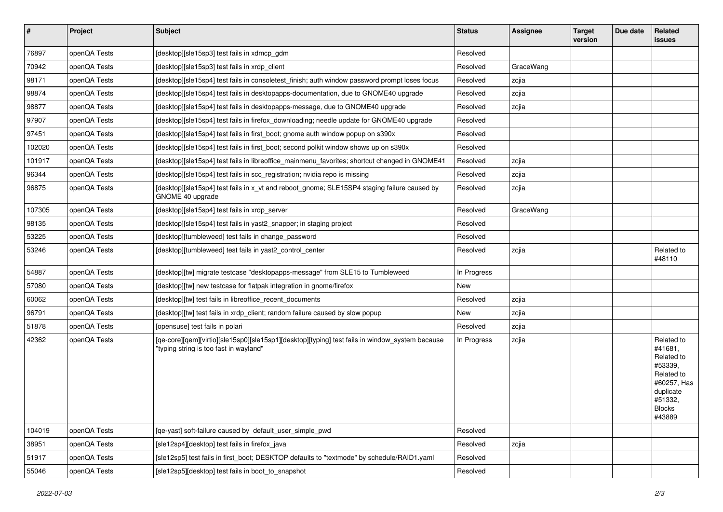| $\vert$ # | Project      | Subject                                                                                                                                   | <b>Status</b> | <b>Assignee</b> | <b>Target</b><br>version | Due date | Related<br>issues                                                                                                              |
|-----------|--------------|-------------------------------------------------------------------------------------------------------------------------------------------|---------------|-----------------|--------------------------|----------|--------------------------------------------------------------------------------------------------------------------------------|
| 76897     | openQA Tests | [desktop][sle15sp3] test fails in xdmcp_gdm                                                                                               | Resolved      |                 |                          |          |                                                                                                                                |
| 70942     | openQA Tests | [desktop][sle15sp3] test fails in xrdp client                                                                                             | Resolved      | GraceWang       |                          |          |                                                                                                                                |
| 98171     | openQA Tests | [desktop][sle15sp4] test fails in consoletest_finish; auth window password prompt loses focus                                             | Resolved      | zcjia           |                          |          |                                                                                                                                |
| 98874     | openQA Tests | [desktop][sle15sp4] test fails in desktopapps-documentation, due to GNOME40 upgrade                                                       | Resolved      | zcjia           |                          |          |                                                                                                                                |
| 98877     | openQA Tests | [desktop][sle15sp4] test fails in desktopapps-message, due to GNOME40 upgrade                                                             | Resolved      | zcjia           |                          |          |                                                                                                                                |
| 97907     | openQA Tests | [desktop][sle15sp4] test fails in firefox_downloading; needle update for GNOME40 upgrade                                                  | Resolved      |                 |                          |          |                                                                                                                                |
| 97451     | openQA Tests | [desktop][sle15sp4] test fails in first_boot; gnome auth window popup on s390x                                                            | Resolved      |                 |                          |          |                                                                                                                                |
| 102020    | openQA Tests | [desktop][sle15sp4] test fails in first boot; second polkit window shows up on s390x                                                      | Resolved      |                 |                          |          |                                                                                                                                |
| 101917    | openQA Tests | [desktop][sle15sp4] test fails in libreoffice_mainmenu_favorites; shortcut changed in GNOME41                                             | Resolved      | zcjia           |                          |          |                                                                                                                                |
| 96344     | openQA Tests | [desktop][sle15sp4] test fails in scc_registration; nvidia repo is missing                                                                | Resolved      | zcjia           |                          |          |                                                                                                                                |
| 96875     | openQA Tests | [desktop][sle15sp4] test fails in x_vt and reboot_gnome; SLE15SP4 staging failure caused by<br>GNOME 40 upgrade                           | Resolved      | zcjia           |                          |          |                                                                                                                                |
| 107305    | openQA Tests | [desktop][sle15sp4] test fails in xrdp_server                                                                                             | Resolved      | GraceWang       |                          |          |                                                                                                                                |
| 98135     | openQA Tests | [desktop][sle15sp4] test fails in yast2_snapper; in staging project                                                                       | Resolved      |                 |                          |          |                                                                                                                                |
| 53225     | openQA Tests | [desktop][tumbleweed] test fails in change password                                                                                       | Resolved      |                 |                          |          |                                                                                                                                |
| 53246     | openQA Tests | [desktop][tumbleweed] test fails in yast2_control_center                                                                                  | Resolved      | zcjia           |                          |          | Related to<br>#48110                                                                                                           |
| 54887     | openQA Tests | [desktop][tw] migrate testcase "desktopapps-message" from SLE15 to Tumbleweed                                                             | In Progress   |                 |                          |          |                                                                                                                                |
| 57080     | openQA Tests | [desktop][tw] new testcase for flatpak integration in gnome/firefox                                                                       | New           |                 |                          |          |                                                                                                                                |
| 60062     | openQA Tests | [desktop][tw] test fails in libreoffice_recent_documents                                                                                  | Resolved      | zcjia           |                          |          |                                                                                                                                |
| 96791     | openQA Tests | [desktop][tw] test fails in xrdp_client; random failure caused by slow popup                                                              | New           | zcjia           |                          |          |                                                                                                                                |
| 51878     | openQA Tests | [opensuse] test fails in polari                                                                                                           | Resolved      | zcjia           |                          |          |                                                                                                                                |
| 42362     | openQA Tests | [qe-core][qem][virtio][sle15sp0][sle15sp1][desktop][typing] test fails in window_system because<br>"typing string is too fast in wayland" | In Progress   | zcjia           |                          |          | Related to<br>#41681,<br>Related to<br>#53339,<br>Related to<br>#60257, Has<br>duplicate<br>#51332,<br><b>Blocks</b><br>#43889 |
| 104019    | openQA Tests | [qe-yast] soft-failure caused by default user simple pwd                                                                                  | Resolved      |                 |                          |          |                                                                                                                                |
| 38951     | openQA Tests | [sle12sp4][desktop] test fails in firefox_java                                                                                            | Resolved      | zcjia           |                          |          |                                                                                                                                |
| 51917     | openQA Tests | [sle12sp5] test fails in first_boot; DESKTOP defaults to "textmode" by schedule/RAID1.yaml                                                | Resolved      |                 |                          |          |                                                                                                                                |
| 55046     | openQA Tests | [sle12sp5][desktop] test fails in boot_to_snapshot                                                                                        | Resolved      |                 |                          |          |                                                                                                                                |